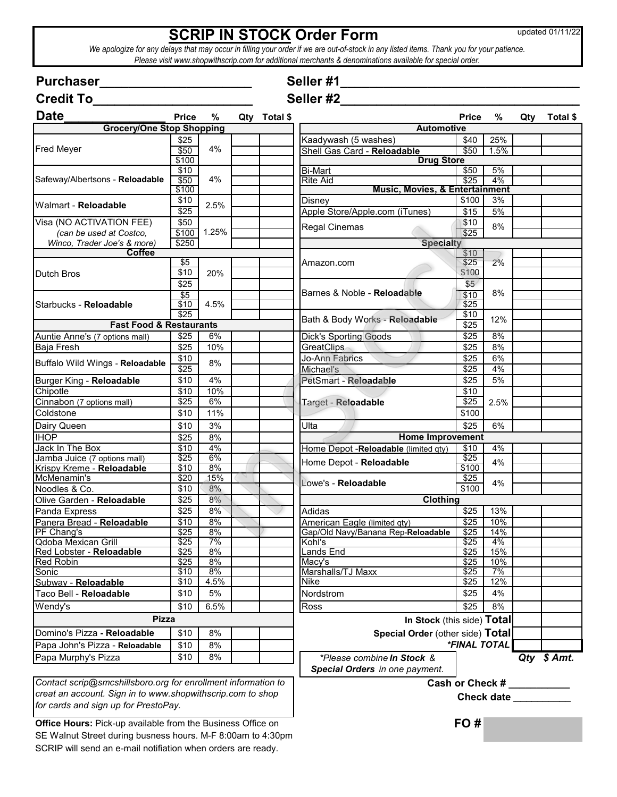## **SCRIP IN STOCK Order Form**

updated 01/11/22

*Please visit www.shopwithscrip.com for additional merchants & denominations available for special order. We apologize for any delays that may occur in filling your order if we are out-of-stock in any listed items. Thank you for your patience.* 

| <b>Purchaser</b>                                              |              |       |     |          | Seller #1                                 |                           |                         |     |             |
|---------------------------------------------------------------|--------------|-------|-----|----------|-------------------------------------------|---------------------------|-------------------------|-----|-------------|
| <b>Credit To</b>                                              |              |       |     |          | Seller #2                                 |                           |                         |     |             |
| <b>Date</b>                                                   | <b>Price</b> | $\%$  | Qty | Total \$ |                                           | <b>Price</b>              | %                       | Qty | Total \$    |
| <b>Grocery/One Stop Shopping</b>                              |              |       |     |          | <b>Automotive</b>                         |                           |                         |     |             |
|                                                               | \$25         |       |     |          | Kaadywash (5 washes)                      | \$40                      | 25%                     |     |             |
| <b>Fred Meyer</b>                                             | \$50         | 4%    |     |          | Shell Gas Card - Reloadable               | \$50                      | 1.5%                    |     |             |
|                                                               | \$100        |       |     |          | <b>Drug Store</b>                         |                           |                         |     |             |
| Safeway/Albertsons - Reloadable                               | \$10         |       |     |          | <b>Bi-Mart</b>                            | \$50                      | 5%                      |     |             |
|                                                               | \$50         | 4%    |     |          | <b>Rite Aid</b>                           | \$25                      | 4%                      |     |             |
|                                                               | \$100        |       |     |          | <b>Music, Movies, &amp; Entertainment</b> |                           |                         |     |             |
| Walmart - Reloadable                                          | \$10         | 2.5%  |     |          | Disney                                    | \$100                     | 3%                      |     |             |
|                                                               | \$25         |       |     |          | Apple Store/Apple.com (iTunes)            | \$15                      | 5%                      |     |             |
| Visa (NO ACTIVATION FEE)                                      | \$50         |       |     |          | Regal Cinemas                             | \$10                      | 8%                      |     |             |
| (can be used at Costco.                                       | \$100        | 1.25% |     |          |                                           | \$25                      |                         |     |             |
| Winco, Trader Joe's & more)                                   | \$250        |       |     |          | <b>Specialty</b>                          |                           |                         |     |             |
| <b>Coffee</b>                                                 | \$5          |       |     |          |                                           | \$10<br>\$25              | 2%                      |     |             |
| <b>Dutch Bros</b>                                             | \$10         | 20%   |     |          | Amazon.com                                | \$100                     |                         |     |             |
|                                                               |              |       |     |          |                                           |                           |                         |     |             |
|                                                               | \$25         |       |     |          | Barnes & Noble - Reloadable               | \$5                       | 8%                      |     |             |
| Starbucks - Reloadable                                        | \$5<br>\$10  | 4.5%  |     |          |                                           | \$10<br>\$25              |                         |     |             |
|                                                               | \$25         |       |     |          |                                           | \$10                      |                         |     |             |
| <b>Fast Food &amp; Restaurants</b>                            |              |       |     |          | Bath & Body Works - Reloadable            | \$25                      | 12%                     |     |             |
|                                                               |              |       |     |          |                                           |                           |                         |     |             |
| Auntie Anne's (7 options mall)                                | \$25         | 6%    |     |          | <b>Dick's Sporting Goods</b>              | \$25                      | 8%                      |     |             |
| Baja Fresh                                                    | \$25         | 10%   |     |          | GreatClips                                | \$25                      | 8%                      |     |             |
| Buffalo Wild Wings - Reloadable                               | \$10         | 8%    |     |          | Jo-Ann Fabrics                            | \$25                      | 6%                      |     |             |
|                                                               | $\sqrt{$25}$ |       |     |          | Michael's                                 | \$25                      | 4%                      |     |             |
| Burger King - Reloadable                                      | \$10         | 4%    |     |          | PetSmart - Reloadable                     | \$25                      | 5%                      |     |             |
| Chipotle                                                      | \$10         | 10%   |     |          |                                           | \$10                      |                         |     |             |
| Cinnabon (7 options mall)                                     | \$25         | 6%    |     |          | Target - Reloadable                       | \$25                      | 2.5%                    |     |             |
| Coldstone                                                     | \$10         | 11%   |     |          |                                           | \$100                     |                         |     |             |
| Dairy Queen                                                   | \$10         | 3%    |     |          | Ulta                                      | \$25                      | 6%                      |     |             |
| <b>IHOP</b>                                                   | \$25         | 8%    |     |          | <b>Home Improvement</b>                   |                           |                         |     |             |
| Jack In The Box                                               | \$10         | 4%    |     |          | Home Depot - Reloadable (limited gty)     | \$10                      | 4%                      |     |             |
| Jamba Juice (7 options mall)                                  | \$25         | 6%    |     |          |                                           | \$25                      |                         |     |             |
| Krispy Kreme - Reloadable                                     | \$10         | 8%    |     |          | Home Depot - Reloadable                   | \$100                     | 4%                      |     |             |
| McMenamin's                                                   | \$20         | 15%   |     |          | Lowe's - Reloadable                       | \$25                      |                         |     |             |
| Noodles & Co.                                                 | \$10         | 8%    |     |          |                                           | \$100                     | 4%                      |     |             |
| Olive Garden - Reloadable                                     | \$25         | 8%    |     |          | Clothing                                  |                           |                         |     |             |
| Panda Express                                                 | \$25         | 8%    |     |          | Adidas                                    | \$25                      | 13%                     |     |             |
| Panera Bread - Reloadable                                     | \$10         | 8%    |     |          | American Eagle (limited qty)              | \$25                      | 10%                     |     |             |
| PF Chang's                                                    | \$25         | 8%    |     |          | Gap/Old Navy/Banana Rep-Reloadable        | \$25                      | 14%                     |     |             |
| Qdoba Mexican Grill                                           | \$25         | 7%    |     |          | Kohl's                                    | \$25                      | 4%                      |     |             |
| Red Lobster - Reloadable                                      | \$25         | 8%    |     |          | ands End                                  | \$25                      | 15%                     |     |             |
| <b>Red Robin</b>                                              | \$25         | 8%    |     |          | Macy's                                    | \$25                      | 10%                     |     |             |
| Sonic                                                         | \$10         | 8%    |     |          | Marshalls/TJ Maxx                         | \$25                      | 7%                      |     |             |
| Subway - Reloadable                                           | \$10         | 4.5%  |     |          | Nike                                      | \$25                      | 12%                     |     |             |
| Taco Bell - Reloadable                                        | \$10         | 5%    |     |          | Nordstrom                                 | \$25                      | 4%                      |     |             |
| Wendy's                                                       | \$10         | 6.5%  |     |          | <b>Ross</b>                               | \$25                      | 8%                      |     |             |
| <b>Pizza</b>                                                  |              |       |     |          | In Stock (this side) Total                |                           |                         |     |             |
| Domino's Pizza - Reloadable                                   | \$10         | 8%    |     |          | Special Order (other side) Total          |                           |                         |     |             |
| Papa John's Pizza - Reloadable                                | \$10         | 8%    |     |          |                                           | *FINAL TOTAL              |                         |     |             |
| Papa Murphy's Pizza                                           | \$10         | 8%    |     |          | *Please combine In Stock &                |                           |                         |     | Qty \$ Amt. |
|                                                               |              |       |     |          |                                           |                           |                         |     |             |
|                                                               |              |       |     |          | Special Orders in one payment.            |                           |                         |     |             |
| Contact scrip@smcshillsboro.org for enrollment information to |              |       |     |          |                                           | Cash or Check # _________ |                         |     |             |
| creat an account. Sign in to www.shopwithscrip.com to shop    |              |       |     |          |                                           |                           | Check date <b>Check</b> |     |             |
| for cards and sign up for PrestoPay.                          |              |       |     |          |                                           |                           |                         |     |             |
|                                                               |              |       |     |          |                                           |                           |                         |     |             |

**Office Hours:** Pick-up available from the Business Office on **FO #** SE Walnut Street during busness hours. M-F 8:00am to 4:30pm SCRIP will send an e-mail notifiation when orders are ready.